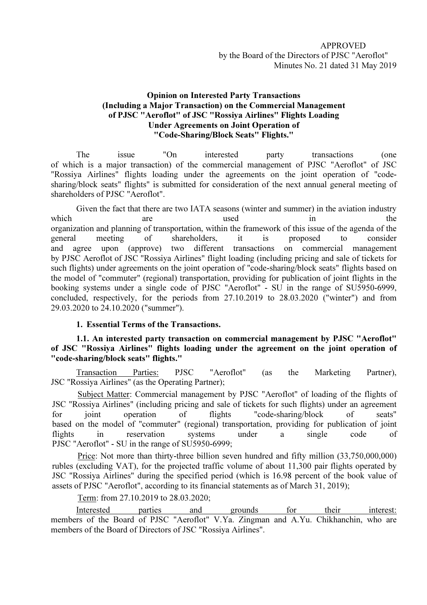## Opinion on Interested Party Transactions (Including a Major Transaction) on the Commercial Management of PJSC "Aeroflot" of JSC "Rossiya Airlines" Flights Loading Under Agreements on Joint Operation of "Code-Sharing/Block Seats" Flights."

The issue "On interested party transactions (one of which is a major transaction) of the commercial management of PJSC "Aeroflot" of JSC "Rossiya Airlines" flights loading under the agreements on the joint operation of "codesharing/block seats" flights" is submitted for consideration of the next annual general meeting of shareholders of PJSC "Aeroflot".

Given the fact that there are two IATA seasons (winter and summer) in the aviation industry which are are used in the organization and planning of transportation, within the framework of this issue of the agenda of the general meeting of shareholders, it is proposed to consider and agree upon (approve) two different transactions on commercial management by PJSC Aeroflot of JSC "Rossiya Airlines" flight loading (including pricing and sale of tickets for such flights) under agreements on the joint operation of "code-sharing/block seats" flights based on the model of "commuter" (regional) transportation, providing for publication of joint flights in the booking systems under a single code of PJSC "Aeroflot" - SU in the range of SU5950-6999, concluded, respectively, for the periods from 27.10.2019 to 28.03.2020 ("winter") and from 29.03.2020 to 24.10.2020 ("summer").

## 1. Essential Terms of the Transactions.

1.1. An interested party transaction on commercial management by PJSC "Aeroflot" of JSC "Rossiya Airlines" flights loading under the agreement on the joint operation of "code-sharing/block seats" flights."

Transaction Parties: PJSC "Aeroflot" (as the Marketing Partner), JSC "Rossiya Airlines" (as the Operating Partner);

Subject Matter: Commercial management by PJSC "Aeroflot" of loading of the flights of JSC "Rossiya Airlines" (including pricing and sale of tickets for such flights) under an agreement for joint operation of flights "code-sharing/block of seats" based on the model of "commuter" (regional) transportation, providing for publication of joint flights in reservation systems under a single code of PJSC "Aeroflot" - SU in the range of SU5950-6999;

Price: Not more than thirty-three billion seven hundred and fifty million (33,750,000,000) rubles (excluding VAT), for the projected traffic volume of about 11,300 pair flights operated by JSC "Rossiya Airlines" during the specified period (which is 16.98 percent of the book value of assets of PJSC "Aeroflot", according to its financial statements as of March 31, 2019);

Term: from 27.10.2019 to 28.03.2020;

Interested parties and grounds for their interest: members of the Board of PJSC "Aeroflot" V.Ya. Zingman and A.Yu. Chikhanchin, who are members of the Board of Directors of JSC "Rossiya Airlines".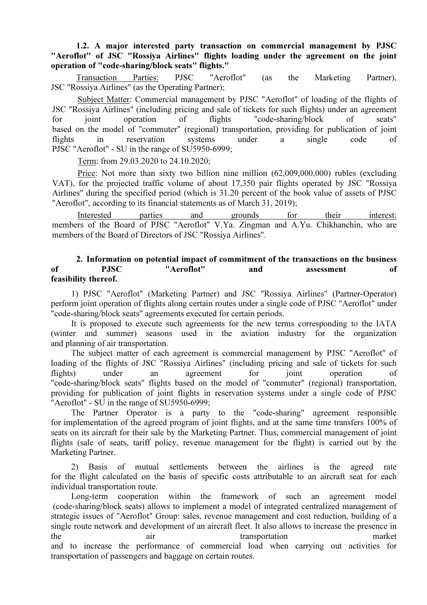1.2. A major interested party transaction on commercial management by PJSC "Aeroflot" of JSC "Rossiya Airlines" flights loading under the agreement on the joint operation of "code-sharing/block seats" flights."

Transaction Parties: PJSC "Aeroflot" (as the Marketing Partner), JSC "Rossiya Airlines" (as the Operating Partner);

Subject Matter: Commercial management by PJSC "Aeroflot" of loading of the flights of JSC "Rossiya Airlines" (including pricing and sale of tickets for such flights) under an agreement for joint operation of flights "code-sharing/block of seats" based on the model of "commuter" (regional) transportation, providing for publication of joint flights in reservation systems under a single code of PJSC "Aeroflot" - SU in the range of SU5950-6999;

Term: from 29.03.2020 to 24.10.2020;

Price: Not more than sixty two billion nine million (62,009,000,000) rubles (excluding VAT), for the projected traffic volume of about 17,350 pair flights operated by JSC "Rossiya Airlines" during the specified period (which is 31.20 percent of the book value of assets of PJSC "Aeroflot", according to its financial statements as of March 31, 2019);

Interested parties and grounds for their interest: members of the Board of PJSC "Aeroflot" V.Ya. Zingman and A.Yu. Chikhanchin, who are members of the Board of Directors of JSC "Rossiya Airlines".

## 2. Information on potential impact of commitment of the transactions on the business of PJSC "Aeroflot" and assessment of feasibility thereof.

1) PJSC "Aeroflot" (Marketing Partner) and JSC "Rossiya Airlines" (Partner-Operator) perform joint operation of flights along certain routes under a single code of PJSC "Aeroflot" under "code-sharing/block seats" agreements executed for certain periods.

It is proposed to execute such agreements for the new terms corresponding to the IATA (winter and summer) seasons used in the aviation industry for the organization and planning of air transportation.

The subject matter of each agreement is commercial management by PJSC "Aeroflot" of loading of the flights of JSC "Rossiya Airlines" (including pricing and sale of tickets for such flights) under an agreement for joint operation of "code-sharing/block seats" flights based on the model of "commuter" (regional) transportation, providing for publication of joint flights in reservation systems under a single code of PJSC "Aeroflot" - SU in the range of SU5950-6999;

The Partner Operator is a party to the "code-sharing" agreement responsible for implementation of the agreed program of joint flights, and at the same time transfers 100% of seats on its aircraft for their sale by the Marketing Partner. Thus, commercial management of joint flights (sale of seats, tariff policy, revenue management for the flight) is carried out by the Marketing Partner.

2) Basis of mutual settlements between the airlines is the agreed rate for the flight calculated on the basis of specific costs attributable to an aircraft seat for each individual transportation route.

Long-term cooperation within the framework of such an agreement model (code-sharing/block seats) allows to implement a model of integrated centralized management of strategic issues of "Aeroflot" Group: sales, revenue management and cost reduction, building of a single route network and development of an aircraft fleet. It also allows to increase the presence in the air transportation market and to increase the performance of commercial load when carrying out activities for transportation of passengers and baggage on certain routes.